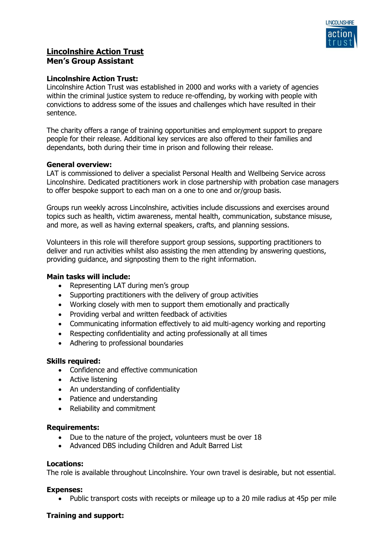

# **Lincolnshire Action Trust Men's Group Assistant**

## **Lincolnshire Action Trust:**

Lincolnshire Action Trust was established in 2000 and works with a variety of agencies within the criminal justice system to reduce re-offending, by working with people with convictions to address some of the issues and challenges which have resulted in their sentence.

The charity offers a range of training opportunities and employment support to prepare people for their release. Additional key services are also offered to their families and dependants, both during their time in prison and following their release.

## **General overview:**

LAT is commissioned to deliver a specialist Personal Health and Wellbeing Service across Lincolnshire. Dedicated practitioners work in close partnership with probation case managers to offer bespoke support to each man on a one to one and or/group basis.

Groups run weekly across Lincolnshire, activities include discussions and exercises around topics such as health, victim awareness, mental health, communication, substance misuse, and more, as well as having external speakers, crafts, and planning sessions.

Volunteers in this role will therefore support group sessions, supporting practitioners to deliver and run activities whilst also assisting the men attending by answering questions, providing guidance, and signposting them to the right information.

#### **Main tasks will include:**

- Representing LAT during men's group
- Supporting practitioners with the delivery of group activities
- Working closely with men to support them emotionally and practically
- Providing verbal and written feedback of activities
- Communicating information effectively to aid multi-agency working and reporting
- Respecting confidentiality and acting professionally at all times
- Adhering to professional boundaries

# **Skills required:**

- Confidence and effective communication
- Active listening
- An understanding of confidentiality
- Patience and understanding
- Reliability and commitment

#### **Requirements:**

- Due to the nature of the project, volunteers must be over 18
- Advanced DBS including Children and Adult Barred List

#### **Locations:**

The role is available throughout Lincolnshire. Your own travel is desirable, but not essential.

#### **Expenses:**

• Public transport costs with receipts or mileage up to a 20 mile radius at 45p per mile

#### **Training and support:**